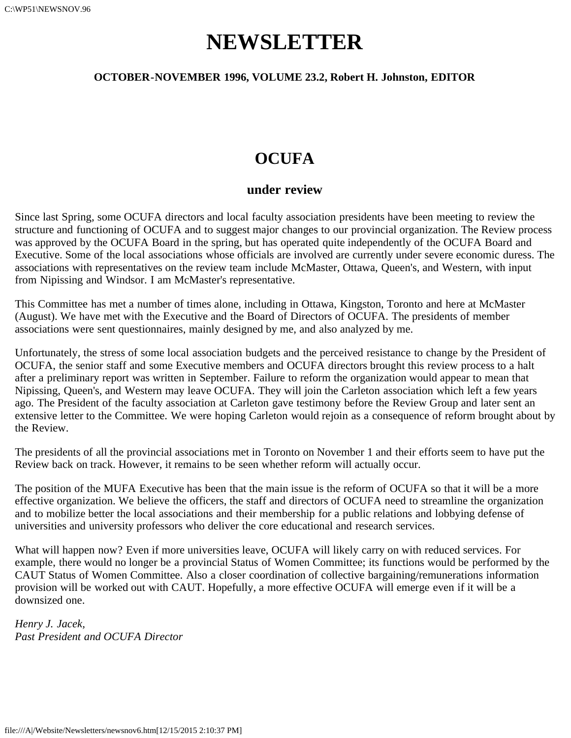# **NEWSLETTER**

#### **OCTOBER-NOVEMBER 1996, VOLUME 23.2, Robert H. Johnston, EDITOR**

# **OCUFA**

#### **under review**

Since last Spring, some OCUFA directors and local faculty association presidents have been meeting to review the structure and functioning of OCUFA and to suggest major changes to our provincial organization. The Review process was approved by the OCUFA Board in the spring, but has operated quite independently of the OCUFA Board and Executive. Some of the local associations whose officials are involved are currently under severe economic duress. The associations with representatives on the review team include McMaster, Ottawa, Queen's, and Western, with input from Nipissing and Windsor. I am McMaster's representative.

This Committee has met a number of times alone, including in Ottawa, Kingston, Toronto and here at McMaster (August). We have met with the Executive and the Board of Directors of OCUFA. The presidents of member associations were sent questionnaires, mainly designed by me, and also analyzed by me.

Unfortunately, the stress of some local association budgets and the perceived resistance to change by the President of OCUFA, the senior staff and some Executive members and OCUFA directors brought this review process to a halt after a preliminary report was written in September. Failure to reform the organization would appear to mean that Nipissing, Queen's, and Western may leave OCUFA. They will join the Carleton association which left a few years ago. The President of the faculty association at Carleton gave testimony before the Review Group and later sent an extensive letter to the Committee. We were hoping Carleton would rejoin as a consequence of reform brought about by the Review.

The presidents of all the provincial associations met in Toronto on November 1 and their efforts seem to have put the Review back on track. However, it remains to be seen whether reform will actually occur.

The position of the MUFA Executive has been that the main issue is the reform of OCUFA so that it will be a more effective organization. We believe the officers, the staff and directors of OCUFA need to streamline the organization and to mobilize better the local associations and their membership for a public relations and lobbying defense of universities and university professors who deliver the core educational and research services.

What will happen now? Even if more universities leave, OCUFA will likely carry on with reduced services. For example, there would no longer be a provincial Status of Women Committee; its functions would be performed by the CAUT Status of Women Committee. Also a closer coordination of collective bargaining/remunerations information provision will be worked out with CAUT. Hopefully, a more effective OCUFA will emerge even if it will be a downsized one.

*Henry J. Jacek, Past President and OCUFA Director*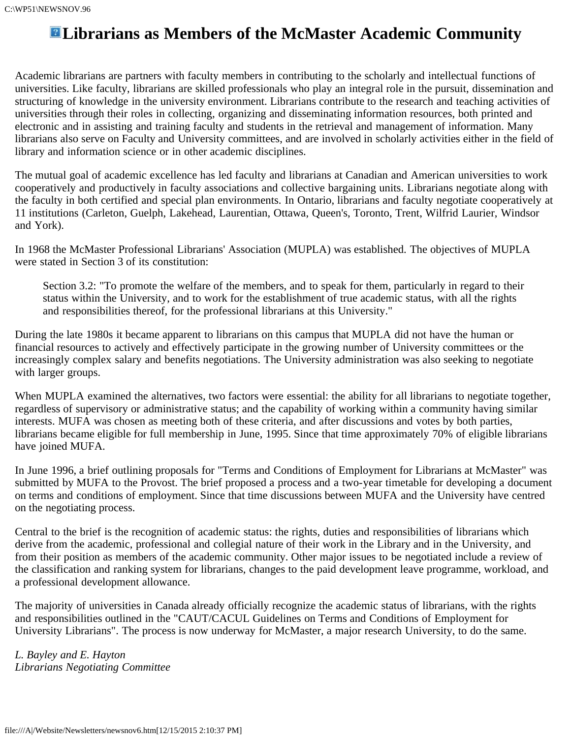### **Librarians as Members of the McMaster Academic Community**

Academic librarians are partners with faculty members in contributing to the scholarly and intellectual functions of universities. Like faculty, librarians are skilled professionals who play an integral role in the pursuit, dissemination and structuring of knowledge in the university environment. Librarians contribute to the research and teaching activities of universities through their roles in collecting, organizing and disseminating information resources, both printed and electronic and in assisting and training faculty and students in the retrieval and management of information. Many librarians also serve on Faculty and University committees, and are involved in scholarly activities either in the field of library and information science or in other academic disciplines.

The mutual goal of academic excellence has led faculty and librarians at Canadian and American universities to work cooperatively and productively in faculty associations and collective bargaining units. Librarians negotiate along with the faculty in both certified and special plan environments. In Ontario, librarians and faculty negotiate cooperatively at 11 institutions (Carleton, Guelph, Lakehead, Laurentian, Ottawa, Queen's, Toronto, Trent, Wilfrid Laurier, Windsor and York).

In 1968 the McMaster Professional Librarians' Association (MUPLA) was established. The objectives of MUPLA were stated in Section 3 of its constitution:

Section 3.2: "To promote the welfare of the members, and to speak for them, particularly in regard to their status within the University, and to work for the establishment of true academic status, with all the rights and responsibilities thereof, for the professional librarians at this University."

During the late 1980s it became apparent to librarians on this campus that MUPLA did not have the human or financial resources to actively and effectively participate in the growing number of University committees or the increasingly complex salary and benefits negotiations. The University administration was also seeking to negotiate with larger groups.

When MUPLA examined the alternatives, two factors were essential: the ability for all librarians to negotiate together, regardless of supervisory or administrative status; and the capability of working within a community having similar interests. MUFA was chosen as meeting both of these criteria, and after discussions and votes by both parties, librarians became eligible for full membership in June, 1995. Since that time approximately 70% of eligible librarians have joined MUFA.

In June 1996, a brief outlining proposals for "Terms and Conditions of Employment for Librarians at McMaster" was submitted by MUFA to the Provost. The brief proposed a process and a two-year timetable for developing a document on terms and conditions of employment. Since that time discussions between MUFA and the University have centred on the negotiating process.

Central to the brief is the recognition of academic status: the rights, duties and responsibilities of librarians which derive from the academic, professional and collegial nature of their work in the Library and in the University, and from their position as members of the academic community. Other major issues to be negotiated include a review of the classification and ranking system for librarians, changes to the paid development leave programme, workload, and a professional development allowance.

The majority of universities in Canada already officially recognize the academic status of librarians, with the rights and responsibilities outlined in the "CAUT/CACUL Guidelines on Terms and Conditions of Employment for University Librarians". The process is now underway for McMaster, a major research University, to do the same.

*L. Bayley and E. Hayton Librarians Negotiating Committee*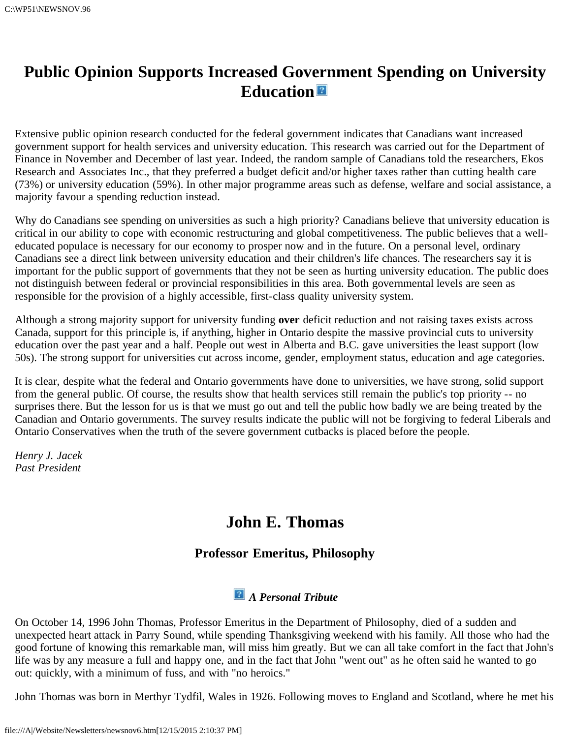# **Public Opinion Supports Increased Government Spending on University Education**

Extensive public opinion research conducted for the federal government indicates that Canadians want increased government support for health services and university education. This research was carried out for the Department of Finance in November and December of last year. Indeed, the random sample of Canadians told the researchers, Ekos Research and Associates Inc., that they preferred a budget deficit and/or higher taxes rather than cutting health care (73%) or university education (59%). In other major programme areas such as defense, welfare and social assistance, a majority favour a spending reduction instead.

Why do Canadians see spending on universities as such a high priority? Canadians believe that university education is critical in our ability to cope with economic restructuring and global competitiveness. The public believes that a welleducated populace is necessary for our economy to prosper now and in the future. On a personal level, ordinary Canadians see a direct link between university education and their children's life chances. The researchers say it is important for the public support of governments that they not be seen as hurting university education. The public does not distinguish between federal or provincial responsibilities in this area. Both governmental levels are seen as responsible for the provision of a highly accessible, first-class quality university system.

Although a strong majority support for university funding **over** deficit reduction and not raising taxes exists across Canada, support for this principle is, if anything, higher in Ontario despite the massive provincial cuts to university education over the past year and a half. People out west in Alberta and B.C. gave universities the least support (low 50s). The strong support for universities cut across income, gender, employment status, education and age categories.

It is clear, despite what the federal and Ontario governments have done to universities, we have strong, solid support from the general public. Of course, the results show that health services still remain the public's top priority -- no surprises there. But the lesson for us is that we must go out and tell the public how badly we are being treated by the Canadian and Ontario governments. The survey results indicate the public will not be forgiving to federal Liberals and Ontario Conservatives when the truth of the severe government cutbacks is placed before the people.

*Henry J. Jacek Past President*

## **John E. Thomas**

### **Professor Emeritus, Philosophy**

### *A Personal Tribute*

On October 14, 1996 John Thomas, Professor Emeritus in the Department of Philosophy, died of a sudden and unexpected heart attack in Parry Sound, while spending Thanksgiving weekend with his family. All those who had the good fortune of knowing this remarkable man, will miss him greatly. But we can all take comfort in the fact that John's life was by any measure a full and happy one, and in the fact that John "went out" as he often said he wanted to go out: quickly, with a minimum of fuss, and with "no heroics."

John Thomas was born in Merthyr Tydfil, Wales in 1926. Following moves to England and Scotland, where he met his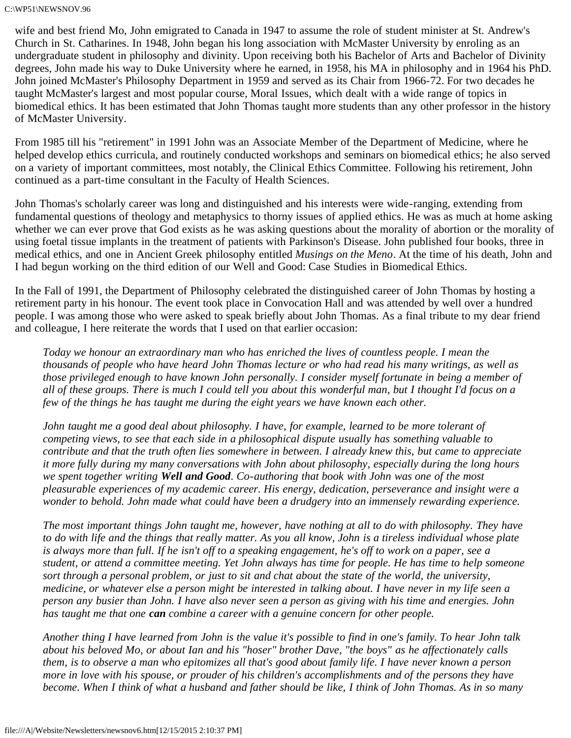wife and best friend Mo, John emigrated to Canada in 1947 to assume the role of student minister at St. Andrew's Church in St. Catharines. In 1948, John began his long association with McMaster University by enroling as an undergraduate student in philosophy and divinity. Upon receiving both his Bachelor of Arts and Bachelor of Divinity degrees, John made his way to Duke University where he earned, in 1958, his MA in philosophy and in 1964 his PhD. John joined McMaster's Philosophy Department in 1959 and served as its Chair from 1966-72. For two decades he taught McMaster's largest and most popular course, Moral Issues, which dealt with a wide range of topics in biomedical ethics. It has been estimated that John Thomas taught more students than any other professor in the history of McMaster University.

From 1985 till his "retirement" in 1991 John was an Associate Member of the Department of Medicine, where he helped develop ethics curricula, and routinely conducted workshops and seminars on biomedical ethics; he also served on a variety of important committees, most notably, the Clinical Ethics Committee. Following his retirement, John continued as a part-time consultant in the Faculty of Health Sciences.

John Thomas's scholarly career was long and distinguished and his interests were wide-ranging, extending from fundamental questions of theology and metaphysics to thorny issues of applied ethics. He was as much at home asking whether we can ever prove that God exists as he was asking questions about the morality of abortion or the morality of using foetal tissue implants in the treatment of patients with Parkinson's Disease. John published four books, three in medical ethics, and one in Ancient Greek philosophy entitled *Musings on the Meno*. At the time of his death, John and I had begun working on the third edition of our Well and Good: Case Studies in Biomedical Ethics.

In the Fall of 1991, the Department of Philosophy celebrated the distinguished career of John Thomas by hosting a retirement party in his honour. The event took place in Convocation Hall and was attended by well over a hundred people. I was among those who were asked to speak briefly about John Thomas. As a final tribute to my dear friend and colleague, I here reiterate the words that I used on that earlier occasion:

*Today we honour an extraordinary man who has enriched the lives of countless people. I mean the thousands of people who have heard John Thomas lecture or who had read his many writings, as well as those privileged enough to have known John personally. I consider myself fortunate in being a member of all of these groups. There is much I could tell you about this wonderful man, but I thought I'd focus on a few of the things he has taught me during the eight years we have known each other.*

*John taught me a good deal about philosophy. I have, for example, learned to be more tolerant of competing views, to see that each side in a philosophical dispute usually has something valuable to contribute and that the truth often lies somewhere in between. I already knew this, but came to appreciate it more fully during my many conversations with John about philosophy, especially during the long hours we spent together writing Well and Good. Co-authoring that book with John was one of the most pleasurable experiences of my academic career. His energy, dedication, perseverance and insight were a wonder to behold. John made what could have been a drudgery into an immensely rewarding experience.*

*The most important things John taught me, however, have nothing at all to do with philosophy. They have to do with life and the things that really matter. As you all know, John is a tireless individual whose plate is always more than full. If he isn't off to a speaking engagement, he's off to work on a paper, see a student, or attend a committee meeting. Yet John always has time for people. He has time to help someone sort through a personal problem, or just to sit and chat about the state of the world, the university, medicine, or whatever else a person might be interested in talking about. I have never in my life seen a person any busier than John. I have also never seen a person as giving with his time and energies. John has taught me that one can combine a career with a genuine concern for other people.*

*Another thing I have learned from John is the value it's possible to find in one's family. To hear John talk about his beloved Mo, or about Ian and his "hoser" brother Dave, "the boys" as he affectionately calls them, is to observe a man who epitomizes all that's good about family life. I have never known a person more in love with his spouse, or prouder of his children's accomplishments and of the persons they have become. When I think of what a husband and father should be like, I think of John Thomas. As in so many*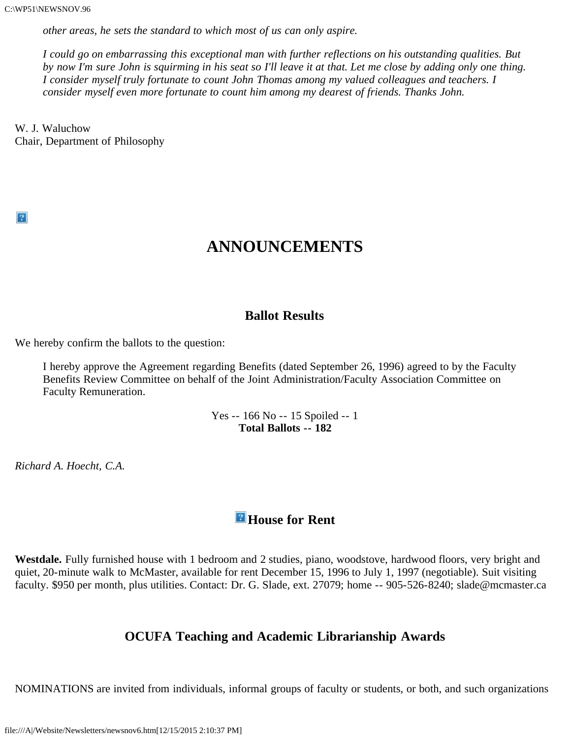*other areas, he sets the standard to which most of us can only aspire.*

*I could go on embarrassing this exceptional man with further reflections on his outstanding qualities. But by now I'm sure John is squirming in his seat so I'll leave it at that. Let me close by adding only one thing. I consider myself truly fortunate to count John Thomas among my valued colleagues and teachers. I consider myself even more fortunate to count him among my dearest of friends. Thanks John.*

W. J. Waluchow Chair, Department of Philosophy

 $|2|$ 

### **ANNOUNCEMENTS**

#### **Ballot Results**

We hereby confirm the ballots to the question:

I hereby approve the Agreement regarding Benefits (dated September 26, 1996) agreed to by the Faculty Benefits Review Committee on behalf of the Joint Administration/Faculty Association Committee on Faculty Remuneration.

> Yes -- 166 No -- 15 Spoiled -- 1 **Total Ballots -- 182**

*Richard A. Hoecht, C.A.*

### **House for Rent**

**Westdale.** Fully furnished house with 1 bedroom and 2 studies, piano, woodstove, hardwood floors, very bright and quiet, 20-minute walk to McMaster, available for rent December 15, 1996 to July 1, 1997 (negotiable). Suit visiting faculty. \$950 per month, plus utilities. Contact: Dr. G. Slade, ext. 27079; home -- 905-526-8240; slade@mcmaster.ca

#### **OCUFA Teaching and Academic Librarianship Awards**

NOMINATIONS are invited from individuals, informal groups of faculty or students, or both, and such organizations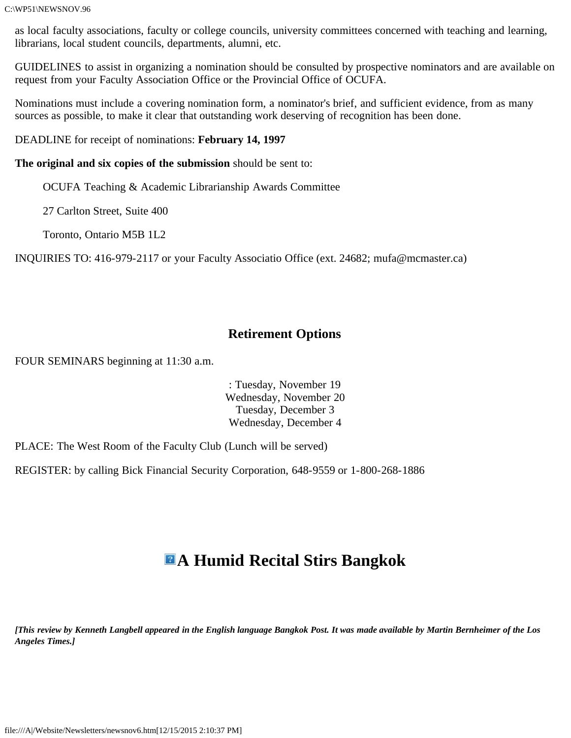as local faculty associations, faculty or college councils, university committees concerned with teaching and learning, librarians, local student councils, departments, alumni, etc.

GUIDELINES to assist in organizing a nomination should be consulted by prospective nominators and are available on request from your Faculty Association Office or the Provincial Office of OCUFA.

Nominations must include a covering nomination form, a nominator's brief, and sufficient evidence, from as many sources as possible, to make it clear that outstanding work deserving of recognition has been done.

DEADLINE for receipt of nominations: **February 14, 1997**

**The original and six copies of the submission** should be sent to:

OCUFA Teaching & Academic Librarianship Awards Committee

27 Carlton Street, Suite 400

Toronto, Ontario M5B 1L2

INQUIRIES TO: 416-979-2117 or your Faculty Associatio Office (ext. 24682; mufa@mcmaster.ca)

#### **Retirement Options**

FOUR SEMINARS beginning at 11:30 a.m.

: Tuesday, November 19 Wednesday, November 20 Tuesday, December 3 Wednesday, December 4

PLACE: The West Room of the Faculty Club (Lunch will be served)

REGISTER: by calling Bick Financial Security Corporation, 648-9559 or 1-800-268-1886

## **A Humid Recital Stirs Bangkok**

*[This review by Kenneth Langbell appeared in the English language Bangkok Post. It was made available by Martin Bernheimer of the Los Angeles Times.]*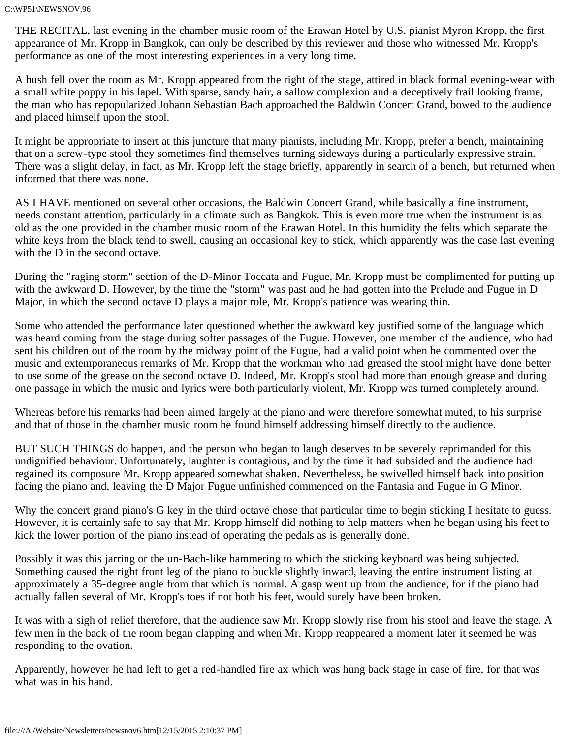THE RECITAL, last evening in the chamber music room of the Erawan Hotel by U.S. pianist Myron Kropp, the first appearance of Mr. Kropp in Bangkok, can only be described by this reviewer and those who witnessed Mr. Kropp's performance as one of the most interesting experiences in a very long time.

A hush fell over the room as Mr. Kropp appeared from the right of the stage, attired in black formal evening-wear with a small white poppy in his lapel. With sparse, sandy hair, a sallow complexion and a deceptively frail looking frame, the man who has repopularized Johann Sebastian Bach approached the Baldwin Concert Grand, bowed to the audience and placed himself upon the stool.

It might be appropriate to insert at this juncture that many pianists, including Mr. Kropp, prefer a bench, maintaining that on a screw-type stool they sometimes find themselves turning sideways during a particularly expressive strain. There was a slight delay, in fact, as Mr. Kropp left the stage briefly, apparently in search of a bench, but returned when informed that there was none.

AS I HAVE mentioned on several other occasions, the Baldwin Concert Grand, while basically a fine instrument, needs constant attention, particularly in a climate such as Bangkok. This is even more true when the instrument is as old as the one provided in the chamber music room of the Erawan Hotel. In this humidity the felts which separate the white keys from the black tend to swell, causing an occasional key to stick, which apparently was the case last evening with the D in the second octave.

During the "raging storm" section of the D-Minor Toccata and Fugue, Mr. Kropp must be complimented for putting up with the awkward D. However, by the time the "storm" was past and he had gotten into the Prelude and Fugue in D Major, in which the second octave D plays a major role, Mr. Kropp's patience was wearing thin.

Some who attended the performance later questioned whether the awkward key justified some of the language which was heard coming from the stage during softer passages of the Fugue. However, one member of the audience, who had sent his children out of the room by the midway point of the Fugue, had a valid point when he commented over the music and extemporaneous remarks of Mr. Kropp that the workman who had greased the stool might have done better to use some of the grease on the second octave D. Indeed, Mr. Kropp's stool had more than enough grease and during one passage in which the music and lyrics were both particularly violent, Mr. Kropp was turned completely around.

Whereas before his remarks had been aimed largely at the piano and were therefore somewhat muted, to his surprise and that of those in the chamber music room he found himself addressing himself directly to the audience.

BUT SUCH THINGS do happen, and the person who began to laugh deserves to be severely reprimanded for this undignified behaviour. Unfortunately, laughter is contagious, and by the time it had subsided and the audience had regained its composure Mr. Kropp appeared somewhat shaken. Nevertheless, he swivelled himself back into position facing the piano and, leaving the D Major Fugue unfinished commenced on the Fantasia and Fugue in G Minor.

Why the concert grand piano's G key in the third octave chose that particular time to begin sticking I hesitate to guess. However, it is certainly safe to say that Mr. Kropp himself did nothing to help matters when he began using his feet to kick the lower portion of the piano instead of operating the pedals as is generally done.

Possibly it was this jarring or the un-Bach-like hammering to which the sticking keyboard was being subjected. Something caused the right front leg of the piano to buckle slightly inward, leaving the entire instrument listing at approximately a 35-degree angle from that which is normal. A gasp went up from the audience, for if the piano had actually fallen several of Mr. Kropp's toes if not both his feet, would surely have been broken.

It was with a sigh of relief therefore, that the audience saw Mr. Kropp slowly rise from his stool and leave the stage. A few men in the back of the room began clapping and when Mr. Kropp reappeared a moment later it seemed he was responding to the ovation.

Apparently, however he had left to get a red-handled fire ax which was hung back stage in case of fire, for that was what was in his hand.